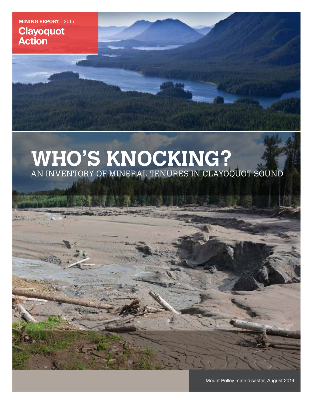**MINING REPORT || 2015 Clayoquot Action**

# **WHO'S KNOCKING?**  AN INVENTORY OF MINERAL TENURES IN CLAYOQUOT SOUND

Mount Polley mine disaster, August 2014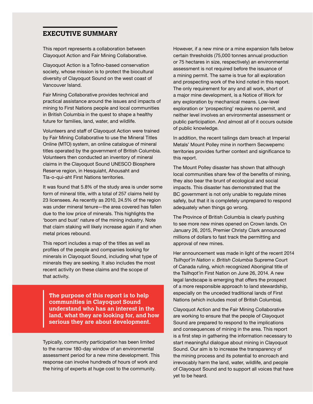# **EXECUTIVE SUMMARY**

This report represents a collaboration between Clayoquot Action and Fair Mining Collaborative.

Clayoquot Action is a Tofino-based conservation society, whose mission is to protect the biocultural diversity of Clayoquot Sound on the west coast of Vancouver Island.

Fair Mining Collaborative provides technical and practical assistance around the issues and impacts of mining to First Nations people and local communities in British Columbia in the quest to shape a healthy future for families, land, water, and wildlife.

Volunteers and staff of Clayoquot Action were trained by Fair Mining Collaborative to use the Mineral Titles Online (MTO) system, an online catalogue of mineral titles operated by the government of British Columbia. Volunteers then conducted an inventory of mineral claims in the Clayoquot Sound UNESCO Biosphere Reserve region, in Hesquiaht, Ahousaht and Tla-o-qui-aht First Nations territories.

It was found that 5.8% of the study area is under some form of mineral title, with a total of 257 claims held by 23 licensees. As recently as 2010, 24.5% of the region was under mineral tenure—the area covered has fallen due to the low price of minerals. This highlights the 'boom and bust' nature of the mining industry. Note that claim staking will likely increase again if and when metal prices rebound.

This report includes a map of the titles as well as profiles of the people and companies looking for minerals in Clayoquot Sound, including what type of minerals they are seeking. It also includes the most recent activity on these claims and the scope of that activity.

**The purpose of this report is to help communities in Clayoquot Sound understand who has an interest in the land, what they are looking for, and how serious they are about development.**

Typically, community participation has been limited to the narrow 180-day window of an environmental assessment period for a new mine development. This response can involve hundreds of hours of work and the hiring of experts at huge cost to the community.

However, if a new mine or a mine expansion falls below certain thresholds (75,000 tonnes annual production or 75 hectares in size, respectively) an environmental assessment is not required before the issuance of a mining permit. The same is true for all exploration and prospecting work of the kind noted in this report. The only requirement for any and all work, short of a major mine development, is a Notice of Work for any exploration by mechanical means. Low-level exploration or 'prospecting' requires no permit, and neither level involves an environmental assessment or public participation. And almost all of it occurs outside of public knowledge.

In addition, the recent tailings dam breach at Imperial Metals' Mount Polley mine in northern Secwepemc territories provides further context and significance to this report.

The Mount Polley disaster has shown that although local communities share few of the benefits of mining, they also bear the brunt of ecological and social impacts. This disaster has demonstrated that the BC government is not only unable to regulate mines safely, but that it is completely unprepared to respond adequately when things go wrong.

The Province of British Columbia is clearly pushing to see more new mines opened on Crown lands. On January 26, 2015, Premier Christy Clark announced millions of dollars to fast track the permitting and approval of new mines.

Her announcement was made in light of the recent 2014 *Tsilhqot'in Nation v. British Columbia* Supreme Court of Canada ruling, which recognized Aboriginal title of the Tsilhqot'in First Nation on June 26, 2014. A new legal landscape is emerging that offers the prospect of a more responsible approach to land stewardship, especially on the unceded traditional lands of First Nations (which includes most of British Columbia).

Clayoquot Action and the Fair Mining Collaborative are working to ensure that the people of Clayoquot Sound are prepared to respond to the implications and consequences of mining in the area. This report is a first step in gathering the information necessary to start meaningful dialogue about mining in Clayoquot Sound. Our aim is to increase the transparency of the mining process and its potential to encroach and irrevocably harm the land, water, wildlife, and people of Clayoquot Sound and to support all voices that have yet to be heard.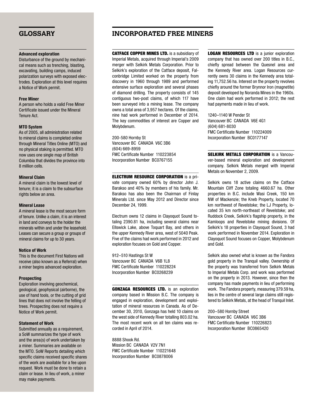#### **Advanced exploration**

Disturbance of the ground by mechanical means such as trenching, blasting, excavating, building camps, induced polarization surveys with exposed electrodes. Exploration at this level requires a Notice of Work permit.

#### **Free Miner**

A person who holds a valid Free Miner Certificate issued under the Mineral Tenure Act.

#### **MTO System**

As of 2005, all administration related to mineral claims is completed online through Mineral Titles Online (MTO) and no physical staking is permitted. MTO now uses one single map of British Columbia that divides the province into 8 million cells.

#### **Mineral Claim**

A mineral claim is the lowest level of tenure; it is a claim to the subsurface rights below an area.

### **Mineral Lease**

A mineral lease is the most secure form of tenure. Unlike a claim, it is an interest in land and conveys to the holder the minerals within and under the leasehold. Leases can secure a group or groups of mineral claims for up to 30 years.

### **Notice of Work**

This is the document First Nations will receive (also known as a Referral) when a miner begins advanced exploration.

### **Prospecting**

Exploration involving geochemical, geological, geophysical (airborne), the use of hand tools, or the cutting of grid lines that does not involve the felling of trees. Prospecting does not require a Notice of Work permit.

### **Statement of Work**

Submitted annually as a requirement, a SoW summarizes the type of work and the area(s) of work undertaken by a miner. Summaries are available on the MTO. SoW Reports detailing which specific claims received specific shares of the work are available for a fee upon request. Work must be done to retain a claim or lease. In lieu of work, a miner may make payments.

# **GLOSSARY INCORPORATED FREE MINERS**

CATFACE COPPER MINES LTD. is a subsidiary of Imperial Metals, acquired through Imperial's 2009 merger with Selkirk Metals Corporation. Prior to Selkirk's exploration of the Catface deposit, Falconbridge Limited worked on the property from discovery in 1960 through 1989 and performed extensive surface exploration and several phases of diamond drilling. The property consists of 145 contiguous two-post claims, of which 117 have been surveyed into a mining lease. The company owns a total area of 3,957 hectares. Of the claims, nine had work performed in December of 2014. The key commodities of interest are Copper and Molybdenum.

200-580 Hornby St Vancouver BC CANADA V6C 3B6 (604) 669-8959 FMC Certificate Number 110223854 Incorporation Number BC0767155

ELECTRUM RESOURCE CORPORATION is a private company owned 60% by director John J. Barakso and 40% by members of his family. Mr. Barakso has also been the Chairman of Finlay Minerals Ltd. since May 2012 and Director since December 24, 1999.

Electrum owns 12 claims in Clayoquot Sound totaling 2390.81 ha, including several claims near Ellswick Lake, above Toquart Bay, and others in the upper Kennedy River area, west of 5040 Peak. Five of the claims had work performed in 2012 and exploration focuses on Gold and Copper.

912–510 Hastings St W Vancouver BC CANADA V6B 1L8 FMC Certificate Number 110228224 Incorporation Number BC0268239

GONZAGA RESOURCES LTD. is an exploration company based in Mission B.C. The company is engaged in exploration, development and exploitation of mineral resources in Canada. As of December 30, 2010, Gonzaga has held 10 claims on the west side of Kennedy River totalling 803.02 ha. The most recent work on all ten claims was recorded in April of 2014.

8888 Shook Rd. Mission BC CANADA V2V 7N1 FMC Certificate Number 110221648 Incorporation Number BC0878006

**LOGAN RESOURCES LTD** is a junior exploration company that has owned over 200 titles in B.C., chiefly spread between the Quesnel area and the Kennedy River area. Logan Resources currently owns 30 claims in the Kennedy area totaling 11,752.56 ha. Interest on the property revolves chiefly around the former Brynnor Iron (magnetite) deposit developed by Noranda Mines in the 1960s. One claim had work performed in 2012; the rest had payments made in lieu of work.

1240–1140 W Pender St Vancouver BC CANADA V6E 4G1 (604) 681-8030 FMC Certificate Number 110224009 Incorporation Number BC0177147

**SELKIRK METALS CORPORATION** is a Vancouver-based mineral exploration and development company. Selkirk Metals merged with Imperial Metals on November 2, 2009.

Selkirk owns 18 active claims on the Catface Mountain Cliff Zone totaling 4660.67 ha. Other properties in B.C. include Wasi Creek, 150 km NW of Mackenzie; the Kneb Property, located 70 km northwest of Revelstoke; the LJ Property, located 35 km north-northeast of Revelstoke; and Ruddock Creek, Selkirk's flagship property, in the Kamloops and Revelstoke mining divisions. Of Selkirk's 18 properties in Clayoquot Sound, 3 had work performed in November 2014. Exploration in Clayoquot Sound focuses on Copper, Molybdenum and Gold.

Selkirk also owned what is known as the Fandora gold property in the Tranquil valley. Ownership of the property was transferred from Selkirk Metals to Imperial Metals Corp. and work was performed on the property in 2013. However, since then the company has made payments in lieu of performing work. The Fandora property, measuring 379.59 ha, lies in the centre of several large claims still registered to Selkirk Metals, at the head of Tranquil Inlet.

200–580 Hornby Street Vancouver BC CANADA V6C 3B6 FMC Certificate Number 110226823 Incorporation Number BC0865420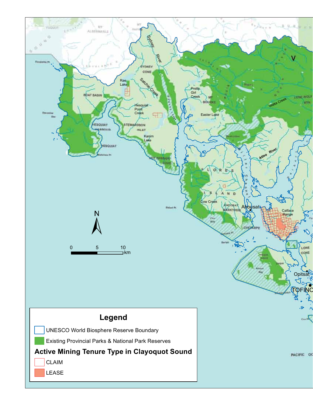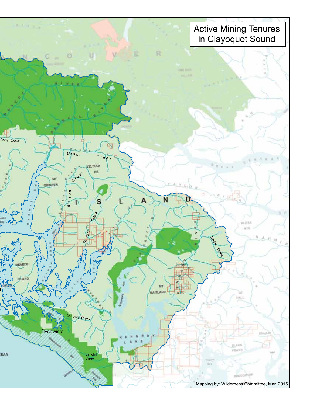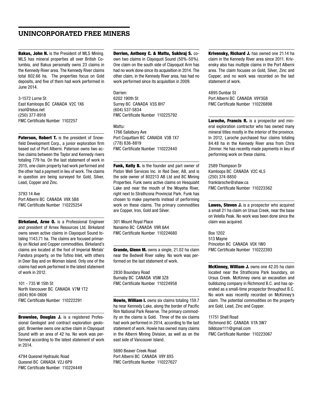# **UNINCORPORATED FREE MINERS**

Bakus, John N. is the President of MLS Mining. MLS has mineral properties all over British Columbia, and Bakus personally owns 23 claims in the Kennedy River area. The Kennedy River claims total 802.66 ha. The properties focus on Gold deposits, and five of them had work performed in June 2014.

3-1572 Lorne St East Kamloops BC CANADA V2C 1X6 irsol@telus.net (250) 377-8918 FMC Certificate Number 1102257

Paterson, Robert T. is the president of Snowfield Development Corp., a junior exploration firm based out of Port Alberni. Paterson owns two active claims between the Taylor and Kennedy rivers totaling 779 ha. On the last statement of work in 2015, one claim property had work performed and the other had a payment in lieu of work. The claims in question are being surveyed for Gold, Silver, Lead, Copper and Zinc.

3793 14 Ave Port Alberni BC CANADA V9X 5B8 FMC Certificate Number 110225254

**Birkeland, Arne O.** is a Professional Engineer and president of Arnex Resources Ltd. Birkeland owns seven active claims in Clayoquot Sound totaling 1143.71 ha. The claims are focused primarily on Nickel and Copper commodities. Birkeland's claims are located at the foot of Imperial Metals' Fandora property, on the Tofino Inlet, with others in Deer Bay and on Woman Island. Only one of the claims had work performed in the latest statement of work in 2012.

101 - 735 W 15th St North Vancouver BC CANADA V7M 1T2 (604) 904-0606 FMC Certificate Number 110222291

Brownlee, Douglas J. is a registered Professional Geologist and contract exploration geologist. Brownlee owns one active claim in Clayoquot Sound with an area of 42 ha. No work was performed according to the latest statement of work in 2014.

4794 Quesnel Hydraulic Road Quesnel BC CANADA V2J 6P9 FMC Certificate Number 110224449

#### Derrien, Anthony C. & Mattu, Sukhraj S. co-

own two claims in Clayoquot Sound (50%-50%). One claim on the south side of Clayoquot Arm has had no work done since its acquisition in 2014. The other claim, in the Kennedy River area, has had no work performed since its acquisition in 2009.

Darrien: 6202 190th St Surrey BC CANADA V3S 8H7 (604) 537-5834 FMC Certificate Number 110225792

Mattu: 1766 Salisbury Ave Port Coquitlam BC CANADA V3B 1X7 (778) 836-8819 FMC Certificate Number 110222440

Funk, Kelly B. is the founder and part owner of Piston Well Services Inc. in Red Deer, AB, and is the sole owner of 802213 AB Ltd and BC Mining Properties. Funk owns active claims on Hesquiaht Lake and near the mouth of the Moyeha River, right next to Strathcona Provincial Park. Funk has chosen to make payments instead of performing work on these claims. The primary commodities are Copper, Iron, Gold and Silver.

301 Mount Royal Place Nanaimo BC CANADA V9R 6A4 FMC Certificate Number 110224680

Grande, Glenn M. owns a single, 21.02 ha claim near the Bedwell River valley. No work was performed on the last statement of work.

2830 Boundary Road Burnaby BC CANADA V5M 3Z8 FMC Certificate Number 110224958

Howie, William I. owns six claims totaling 159.7 ha near Kennedy Lake, along the border of Pacific Rim National Park Reserve. The primary commodity on the claims is Gold. Three of the six claims had work performed in 2014, according to the last statement of work. Howie has owned many claims in the Alberni Mining Division, as well as on the east side of Vancouver Island.

5690 Beaver Creek Road Port Alberni BC CANADA V9Y 8X5 FMC Certificate Number 110227627 Krivensky, Richard J. has owned one 21.14 ha claim in the Kennedy River area since 2011. Krivensky also has multiple claims in the Port Alberni area. The claim focuses on Gold, Silver, Zinc and Copper, and no work was recorded on the last statement of work.

4895 Dunbar St Port Alberni BC CANADA V9Y3G8 FMC Certificate Number 110226898

Laroche, Francis R. is a prospector and mineral exploration contractor who has owned many mineral titles mostly in the interior of the province. In 2012, Laroche purchased four claims totaling 84.48 ha in the Kennedy River area from Chris Zimmer. He has recently made payments in lieu of performing work on these claims.

2589 Thompson Dr Kamloops BC CANADA V2C 4L5 (250) 374-8850 franklaroche@shaw.ca FMC Certificate Number 110223362

Lawes, Steven J. is a prospector who acquired a small 21 ha claim on Ursus Creek, near the base on Velella Peak. No work was been done since the claim was acquired.

Box 1202 513 Mayne Princeton BC CANADA V0X 1W0 FMC Certificate Number 110222393

McKinney, William J. owns one 42.05 ha claim located near the Strathcona Park boundary, on Ursus Creek. McKinney owns an excavation and bulldozing company in Richmond B.C. and has operated as a small-time prospector throughout B.C. No work was recently recorded on McKinney's claim. The potential commodities on the property are Gold, Lead, Zinc and Copper.

11751 Shell Road Richmond BC CANADA V7A 3W7 billdozer111@gmail.com FMC Certificate Number 110223067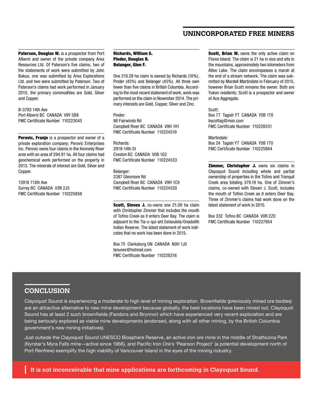# **UNINCORPORATED FREE MINERS**

Paterson, Douglas W. is a prospector from Port Alberni and owner of the private company Area Resources Ltd. Of Paterson's five claims, two of the statements of work were submitted by John Bakus, one was submitted by Area Explorations Ltd. and two were submitted by Paterson. Two of Paterson's claims had work performed in January 2015; the primary commodities are Gold, Silver and Copper.

B-3793 14th Ave Port Alberni BC CANADA V9Y 5B8 FMC Certificate Number 110223045

Perovic, Franjo is a prospector and owner of a private exploration company; Perovic Enterprises Inc. Perovic owns four claims in the Kennedy River area with an area of 294.91 ha. All four claims had geochemical work performed on the property in 2013. The minerals of interest are Gold, Silver and Copper.

13918 113th Ave Surrey BC CANADA V3R 2J5 FMC Certificate Number 110225856

Richards, William G. Pinder, Douglas B. Belanger, Glen F.

One 210.28 ha claim is owned by Richards (10%), Pinder (45%) and Belanger (45%). All three own fewer than five claims in British Columbia. According to the most recent statement of work, work was performed on the claim in November 2014. The primary interests are Gold, Copper, Silver and Zinc.

Pinder: 98 Fairwinds Rd Campbell River BC CANADA V9H 1H1 FMC Certificate Number 110224519

Richards: 2919-14th St Creston BC CANADA V0B 1G2 FMC Certificate Number 110224533

Belanger: 2387 Glenmore Rd Campbell River BC CANADA V9H 1C9 FMC Certificate Number 110224520

Scott, Steven J. co-owns one 21.09 ha claim with Christopher Zimmer that includes the mouth of Tofino Creek as it enters Deer Bay. The claim is adjacent to the Tla-o-qui-aht Eelseuklis/Onadsilth Indian Reserve. The latest statement of work indicates that no work has been done in 2015.

Box 75 Clarksburg ON CANADA N0H 1J0 tenures@hotmail.com FMC Certificate Number 110228316

Scott, Brian W. owns the only active claim on Flores Island. The claim is 21 ha in size and sits in the mountains, approximately two kilometers from Atleo Lake. The claim encompasses a marsh at the end of a stream network. The claim was submitted by Mardell Martindate in February of 2015, however Brian Scott remains the owner. Both are Yukon residents; Scott is a prospector and owner of Ace Aggregate.

Scott: Box 77 Tagish YT CANADA Y0B 1T0 bscottag@msn.com FMC Certificate Number 110228331

Martindale: Box 24 Tagish YT CANADA Y0B 1T0 FMC Certificate Number 110225864

**Zimmer, Christopher J.** owns six claims in Clayoquot Sound including whole and partial ownership of properties in the Tofino and Tranquil Creek area totaling 379.19 ha. One of Zimmer's claims, co-owned with Steven J. Scott, includes the mouth of Tofino Creek as it enters Deer Bay. Three of Zimmer's claims had work done on the latest statement of work in 2015.

Box 332 Tofino BC CANADA V0R 2Z0 FMC Certificate Number 110227954

# **CONCLUSION**

Clayoquot Sound is experiencing a moderate to high level of mining exploration. Brownfields (previously mined ore bodies) are an attractive alternative to new mine development because globally, the best locations have been mined out. Clayoquot Sound has at least 2 such brownfields (Fandora and Brynnor) which have experienced very recent exploration and are being seriously explored as viable mine developments (endorsed, along with all other mining, by the British Columbia government's new mining initiatives).

Just outside the Clayoquot Sound UNESCO Biosphere Reserve, an active iron ore mine in the middle of Strathcona Park (Nyrstar's Myra Falls mine—active since 1966), and Pacific Iron Ore's 'Pearson Project' (a potential development north of Port Renfrew) exemplify the high viability of Vancouver Island in the eyes of the mining industry.

**It is not inconceivable that mine applications are forthcoming in Clayoquot Sound.**